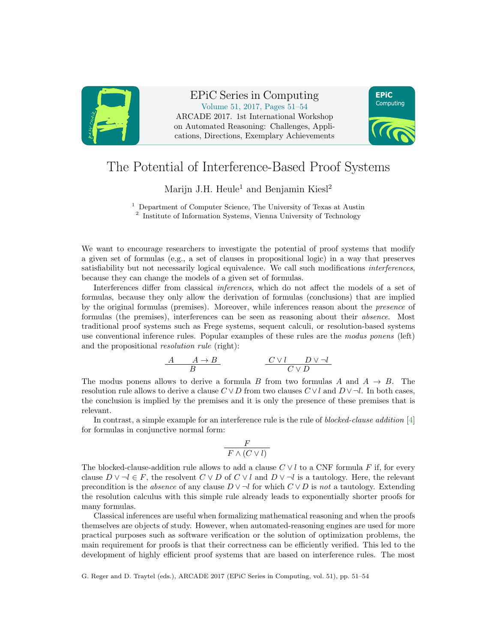

EPiC Series in Computing Volume 51, 2017, Pages 51–54 ARCADE 2017. 1st International Workshop on Automated Reasoning: Challenges, Applications, Directions, Exemplary Achievements



## The Potential of Interference-Based Proof Systems

Marijn J.H. Heule<sup>1</sup> and Benjamin Kiesl<sup>2</sup>

<sup>1</sup> Department of Computer Science, The University of Texas at Austin <sup>2</sup> Institute of Information Systems, Vienna University of Technology

We want to encourage researchers to investigate the potential of proof systems that modify a given set of formulas (e.g., a set of clauses in propositional logic) in a way that preserves satisfiability but not necessarily logical equivalence. We call such modifications interferences, because they can change the models of a given set of formulas.

Interferences differ from classical inferences, which do not affect the models of a set of formulas, because they only allow the derivation of formulas (conclusions) that are implied by the original formulas (premises). Moreover, while inferences reason about the presence of formulas (the premises), interferences can be seen as reasoning about their absence. Most traditional proof systems such as Frege systems, sequent calculi, or resolution-based systems use conventional inference rules. Popular examples of these rules are the modus ponens (left) and the propositional resolution rule (right):

$$
\begin{array}{c|c} A & A \rightarrow B \\ \hline B & C \vee l \\ \end{array} \qquad \qquad \begin{array}{c} C \vee l & D \vee \neg l \\ \hline C \vee D \\ \end{array}
$$

The modus ponens allows to derive a formula B from two formulas A and  $A \rightarrow B$ . The resolution rule allows to derive a clause  $C \vee D$  from two clauses  $C \vee l$  and  $D \vee \neg l$ . In both cases, the conclusion is implied by the premises and it is only the presence of these premises that is relevant.

In contrast, a simple example for an interference rule is the rule of blocked-clause addition [\[4\]](#page-3-0) for formulas in conjunctive normal form:

$$
\frac{F}{F \wedge (C \vee l)}
$$

The blocked-clause-addition rule allows to add a clause  $C \vee l$  to a CNF formula F if, for every clause  $D \vee \neg l \in F$ , the resolvent  $C \vee D$  of  $C \vee l$  and  $D \vee \neg l$  is a tautology. Here, the relevant precondition is the *absence* of any clause  $D \vee \neg l$  for which  $C \vee D$  is not a tautology. Extending the resolution calculus with this simple rule already leads to exponentially shorter proofs for many formulas.

Classical inferences are useful when formalizing mathematical reasoning and when the proofs themselves are objects of study. However, when automated-reasoning engines are used for more practical purposes such as software verification or the solution of optimization problems, the main requirement for proofs is that their correctness can be efficiently verified. This led to the development of highly efficient proof systems that are based on interference rules. The most

G. Reger and D. Traytel (eds.), ARCADE 2017 (EPiC Series in Computing, vol. 51), pp. 51–54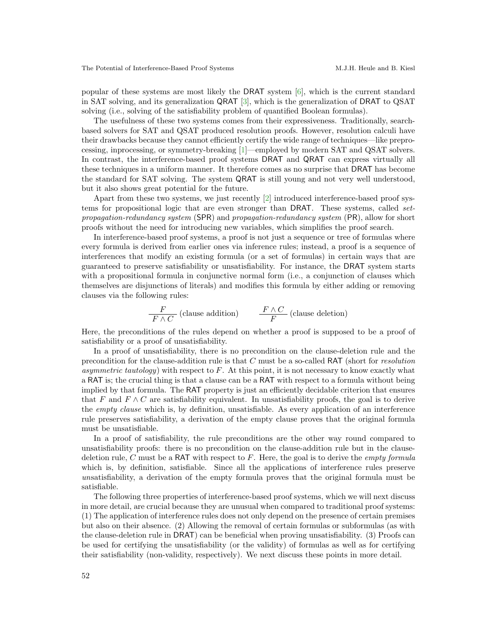popular of these systems are most likely the DRAT system [\[6\]](#page-3-1), which is the current standard in SAT solving, and its generalization QRAT [\[3\]](#page-3-2), which is the generalization of DRAT to QSAT solving (i.e., solving of the satisfiability problem of quantified Boolean formulas).

The usefulness of these two systems comes from their expressiveness. Traditionally, searchbased solvers for SAT and QSAT produced resolution proofs. However, resolution calculi have their drawbacks because they cannot efficiently certify the wide range of techniques—like preprocessing, inprocessing, or symmetry-breaking [\[1\]](#page-3-3)—employed by modern SAT and QSAT solvers. In contrast, the interference-based proof systems DRAT and QRAT can express virtually all these techniques in a uniform manner. It therefore comes as no surprise that DRAT has become the standard for SAT solving. The system QRAT is still young and not very well understood, but it also shows great potential for the future.

Apart from these two systems, we just recently [\[2\]](#page-3-4) introduced interference-based proof systems for propositional logic that are even stronger than DRAT. These systems, called setpropagation-redundancy system (SPR) and propagation-redundancy system (PR), allow for short proofs without the need for introducing new variables, which simplifies the proof search.

In interference-based proof systems, a proof is not just a sequence or tree of formulas where every formula is derived from earlier ones via inference rules; instead, a proof is a sequence of interferences that modify an existing formula (or a set of formulas) in certain ways that are guaranteed to preserve satisfiability or unsatisfiability. For instance, the DRAT system starts with a propositional formula in conjunctive normal form (i.e., a conjunction of clauses which themselves are disjunctions of literals) and modifies this formula by either adding or removing clauses via the following rules:

$$
\frac{F}{F \wedge C}
$$
 (clause addition) 
$$
\frac{F \wedge C}{F}
$$
 (clause deletion)

Here, the preconditions of the rules depend on whether a proof is supposed to be a proof of satisfiability or a proof of unsatisfiability.

In a proof of unsatisfiability, there is no precondition on the clause-deletion rule and the precondition for the clause-addition rule is that C must be a so-called RAT (short for resolution asymmetric tautology) with respect to  $F$ . At this point, it is not necessary to know exactly what a RAT is; the crucial thing is that a clause can be a RAT with respect to a formula without being implied by that formula. The RAT property is just an efficiently decidable criterion that ensures that F and  $F \wedge C$  are satisfiability equivalent. In unsatisfiability proofs, the goal is to derive the empty clause which is, by definition, unsatisfiable. As every application of an interference rule preserves satisfiability, a derivation of the empty clause proves that the original formula must be unsatisfiable.

In a proof of satisfiability, the rule preconditions are the other way round compared to unsatisfiability proofs: there is no precondition on the clause-addition rule but in the clausedeletion rule, C must be a RAT with respect to F. Here, the goal is to derive the *empty formula* which is, by definition, satisfiable. Since all the applications of interference rules preserve unsatisfiability, a derivation of the empty formula proves that the original formula must be satisfiable.

The following three properties of interference-based proof systems, which we will next discuss in more detail, are crucial because they are unusual when compared to traditional proof systems: (1) The application of interference rules does not only depend on the presence of certain premises but also on their absence. (2) Allowing the removal of certain formulas or subformulas (as with the clause-deletion rule in DRAT) can be beneficial when proving unsatisfiability. (3) Proofs can be used for certifying the unsatisfiability (or the validity) of formulas as well as for certifying their satisfiability (non-validity, respectively). We next discuss these points in more detail.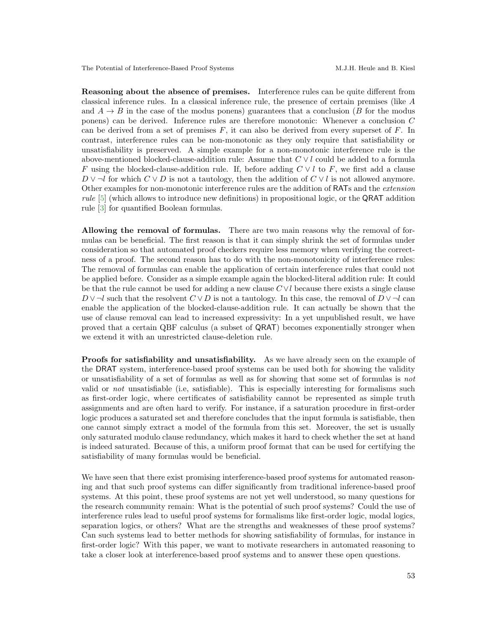Reasoning about the absence of premises. Interference rules can be quite different from classical inference rules. In a classical inference rule, the presence of certain premises (like A and  $A \rightarrow B$  in the case of the modus ponens) guarantees that a conclusion (B for the modus ponens) can be derived. Inference rules are therefore monotonic: Whenever a conclusion C can be derived from a set of premises  $F$ , it can also be derived from every superset of  $F$ . In contrast, interference rules can be non-monotonic as they only require that satisfiability or unsatisfiability is preserved. A simple example for a non-monotonic interference rule is the above-mentioned blocked-clause-addition rule: Assume that  $C \vee l$  could be added to a formula F using the blocked-clause-addition rule. If, before adding  $C \vee l$  to F, we first add a clause  $D \vee \neg l$  for which  $C \vee D$  is not a tautology, then the addition of  $C \vee l$  is not allowed anymore. Other examples for non-monotonic interference rules are the addition of RATs and the extension rule [\[5\]](#page-3-5) (which allows to introduce new definitions) in propositional logic, or the QRAT addition rule [\[3\]](#page-3-2) for quantified Boolean formulas.

Allowing the removal of formulas. There are two main reasons why the removal of formulas can be beneficial. The first reason is that it can simply shrink the set of formulas under consideration so that automated proof checkers require less memory when verifying the correctness of a proof. The second reason has to do with the non-monotonicity of interference rules: The removal of formulas can enable the application of certain interference rules that could not be applied before. Consider as a simple example again the blocked-literal addition rule: It could be that the rule cannot be used for adding a new clause  $C \vee l$  because there exists a single clause  $D \vee \neg l$  such that the resolvent  $C \vee D$  is not a tautology. In this case, the removal of  $D \vee \neg l$  can enable the application of the blocked-clause-addition rule. It can actually be shown that the use of clause removal can lead to increased expressivity: In a yet unpublished result, we have proved that a certain QBF calculus (a subset of QRAT) becomes exponentially stronger when we extend it with an unrestricted clause-deletion rule.

Proofs for satisfiability and unsatisfiability. As we have already seen on the example of the DRAT system, interference-based proof systems can be used both for showing the validity or unsatisfiability of a set of formulas as well as for showing that some set of formulas is not valid or not unsatisfiable (i.e, satisfiable). This is especially interesting for formalisms such as first-order logic, where certificates of satisfiability cannot be represented as simple truth assignments and are often hard to verify. For instance, if a saturation procedure in first-order logic produces a saturated set and therefore concludes that the input formula is satisfiable, then one cannot simply extract a model of the formula from this set. Moreover, the set is usually only saturated modulo clause redundancy, which makes it hard to check whether the set at hand is indeed saturated. Because of this, a uniform proof format that can be used for certifying the satisfiability of many formulas would be beneficial.

We have seen that there exist promising interference-based proof systems for automated reasoning and that such proof systems can differ significantly from traditional inference-based proof systems. At this point, these proof systems are not yet well understood, so many questions for the research community remain: What is the potential of such proof systems? Could the use of interference rules lead to useful proof systems for formalisms like first-order logic, modal logics, separation logics, or others? What are the strengths and weaknesses of these proof systems? Can such systems lead to better methods for showing satisfiability of formulas, for instance in first-order logic? With this paper, we want to motivate researchers in automated reasoning to take a closer look at interference-based proof systems and to answer these open questions.